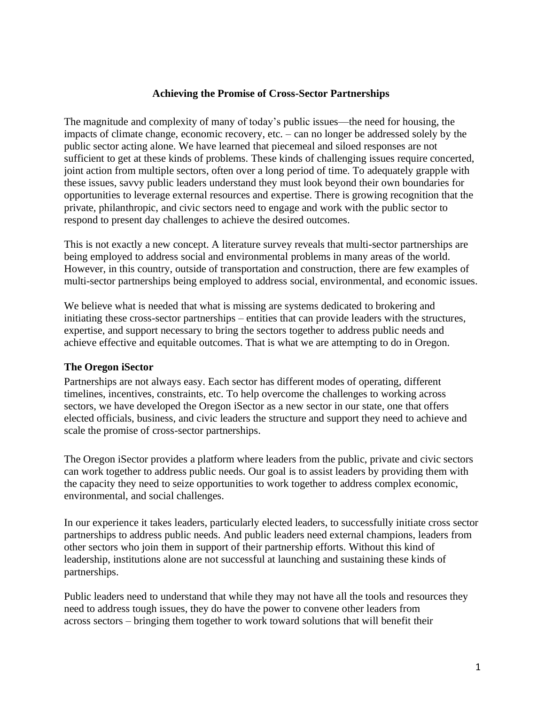# **Achieving the Promise of Cross-Sector Partnerships**

The magnitude and complexity of many of today's public issues—the need for housing, the impacts of climate change, economic recovery, etc. – can no longer be addressed solely by the public sector acting alone. We have learned that piecemeal and siloed responses are not sufficient to get at these kinds of problems. These kinds of challenging issues require concerted, joint action from multiple sectors, often over a long period of time. To adequately grapple with these issues, savvy public leaders understand they must look beyond their own boundaries for opportunities to leverage external resources and expertise. There is growing recognition that the private, philanthropic, and civic sectors need to engage and work with the public sector to respond to present day challenges to achieve the desired outcomes.

This is not exactly a new concept. A literature survey reveals that multi-sector partnerships are being employed to address social and environmental problems in many areas of the world. However, in this country, outside of transportation and construction, there are few examples of multi-sector partnerships being employed to address social, environmental, and economic issues.

We believe what is needed that what is missing are systems dedicated to brokering and initiating these cross-sector partnerships – entities that can provide leaders with the structures, expertise, and support necessary to bring the sectors together to address public needs and achieve effective and equitable outcomes. That is what we are attempting to do in Oregon.

## **The Oregon iSector**

Partnerships are not always easy. Each sector has different modes of operating, different timelines, incentives, constraints, etc. To help overcome the challenges to working across sectors, we have developed the Oregon iSector as a new sector in our state, one that offers elected officials, business, and civic leaders the structure and support they need to achieve and scale the promise of cross-sector partnerships.

The Oregon iSector provides a platform where leaders from the public, private and civic sectors can work together to address public needs. Our goal is to assist leaders by providing them with the capacity they need to seize opportunities to work together to address complex economic, environmental, and social challenges.

In our experience it takes leaders, particularly elected leaders, to successfully initiate cross sector partnerships to address public needs. And public leaders need external champions, leaders from other sectors who join them in support of their partnership efforts. Without this kind of leadership, institutions alone are not successful at launching and sustaining these kinds of partnerships.

Public leaders need to understand that while they may not have all the tools and resources they need to address tough issues, they do have the power to convene other leaders from across sectors – bringing them together to work toward solutions that will benefit their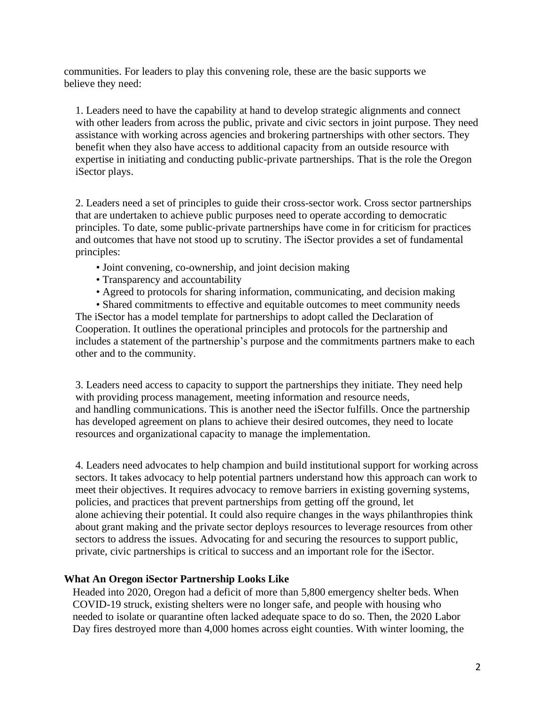communities. For leaders to play this convening role, these are the basic supports we believe they need:

1. Leaders need to have the capability at hand to develop strategic alignments and connect with other leaders from across the public, private and civic sectors in joint purpose. They need assistance with working across agencies and brokering partnerships with other sectors. They benefit when they also have access to additional capacity from an outside resource with expertise in initiating and conducting public-private partnerships. That is the role the Oregon iSector plays.

2. Leaders need a set of principles to guide their cross-sector work. Cross sector partnerships that are undertaken to achieve public purposes need to operate according to democratic principles. To date, some public-private partnerships have come in for criticism for practices and outcomes that have not stood up to scrutiny. The iSector provides a set of fundamental principles:

- Joint convening, co-ownership, and joint decision making
- Transparency and accountability
- Agreed to protocols for sharing information, communicating, and decision making

• Shared commitments to effective and equitable outcomes to meet community needs The iSector has a model template for partnerships to adopt called the Declaration of Cooperation. It outlines the operational principles and protocols for the partnership and includes a statement of the partnership's purpose and the commitments partners make to each other and to the community.

3. Leaders need access to capacity to support the partnerships they initiate. They need help with providing process management, meeting information and resource needs, and handling communications. This is another need the iSector fulfills. Once the partnership has developed agreement on plans to achieve their desired outcomes, they need to locate resources and organizational capacity to manage the implementation.

4. Leaders need advocates to help champion and build institutional support for working across sectors. It takes advocacy to help potential partners understand how this approach can work to meet their objectives. It requires advocacy to remove barriers in existing governing systems, policies, and practices that prevent partnerships from getting off the ground, let alone achieving their potential. It could also require changes in the ways philanthropies think about grant making and the private sector deploys resources to leverage resources from other sectors to address the issues. Advocating for and securing the resources to support public, private, civic partnerships is critical to success and an important role for the iSector.

## **What An Oregon iSector Partnership Looks Like**

Headed into 2020, Oregon had a deficit of more than 5,800 emergency shelter beds. When COVID-19 struck, existing shelters were no longer safe, and people with housing who needed to isolate or quarantine often lacked adequate space to do so. Then, the 2020 Labor Day fires destroyed more than 4,000 homes across eight counties. With winter looming, the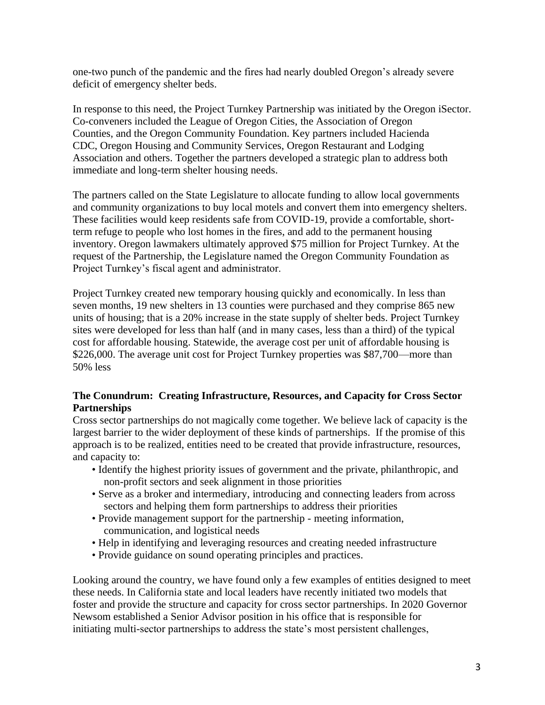one-two punch of the pandemic and the fires had nearly doubled Oregon's already severe deficit of emergency shelter beds.

In response to this need, the Project Turnkey Partnership was initiated by the Oregon iSector. Co-conveners included the League of Oregon Cities, the Association of Oregon Counties, and the Oregon Community Foundation. Key partners included Hacienda CDC, Oregon Housing and Community Services, Oregon Restaurant and Lodging Association and others. Together the partners developed a strategic plan to address both immediate and long-term shelter housing needs.

The partners called on the State Legislature to allocate funding to allow local governments and community organizations to buy local motels and convert them into emergency shelters. These facilities would keep residents safe from COVID-19, provide a comfortable, shortterm refuge to people who lost homes in the fires, and add to the permanent housing inventory. Oregon lawmakers ultimately approved \$75 million for Project Turnkey. At the request of the Partnership, the Legislature named the Oregon Community Foundation as Project Turnkey's fiscal agent and administrator.

Project Turnkey created new temporary housing quickly and economically. In less than seven months, 19 new shelters in 13 counties were purchased and they comprise 865 new units of housing; that is a 20% increase in the state supply of shelter beds. Project Turnkey sites were developed for less than half (and in many cases, less than a third) of the typical cost for affordable housing. Statewide, the average cost per unit of affordable housing is \$226,000. The average unit cost for Project Turnkey properties was \$87,700—more than 50% less

# **The Conundrum: Creating Infrastructure, Resources, and Capacity for Cross Sector Partnerships**

Cross sector partnerships do not magically come together. We believe lack of capacity is the largest barrier to the wider deployment of these kinds of partnerships. If the promise of this approach is to be realized, entities need to be created that provide infrastructure, resources, and capacity to:

- Identify the highest priority issues of government and the private, philanthropic, and non-profit sectors and seek alignment in those priorities
- Serve as a broker and intermediary, introducing and connecting leaders from across sectors and helping them form partnerships to address their priorities
- Provide management support for the partnership meeting information, communication, and logistical needs
- Help in identifying and leveraging resources and creating needed infrastructure
- Provide guidance on sound operating principles and practices.

Looking around the country, we have found only a few examples of entities designed to meet these needs. In California state and local leaders have recently initiated two models that foster and provide the structure and capacity for cross sector partnerships. In 2020 Governor Newsom established a Senior Advisor position in his office that is responsible for initiating multi-sector partnerships to address the state's most persistent challenges,